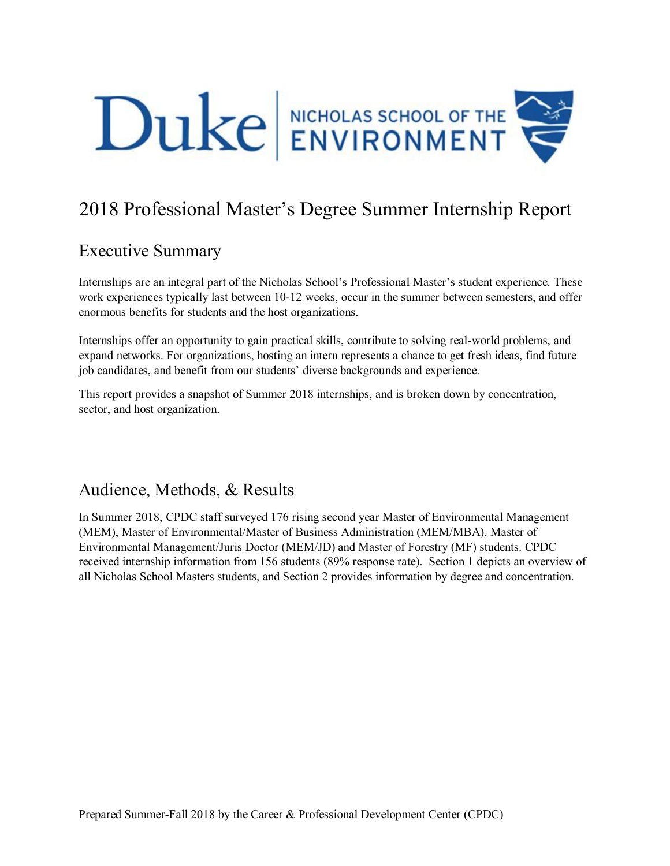

# 2018 Professional Master's Degree Summer Internship Report

# Executive Summary

Internships are an integral part of the Nicholas School's Professional Master's student experience. These work experiences typically last between 10-12 weeks, occur in the summer between semesters, and offer enormous benefits for students and the host organizations.

Internships offer an opportunity to gain practical skills, contribute to solving real-world problems, and expand networks. For organizations, hosting an intern represents a chance to get fresh ideas, find future job candidates, and benefit from our students' diverse backgrounds and experience.

This report provides a snapshot of Summer 2018 internships, and is broken down by concentration, sector, and host organization.

# Audience, Methods, & Results

In Summer 2018, CPDC staff surveyed 176 rising second year Master of Environmental Management (MEM), Master of Environmental/Master of Business Administration (MEM/MBA), Master of Environmental Management/Juris Doctor (MEM/JD) and Master of Forestry (MF) students. CPDC received internship information from 156 students (89% response rate). Section 1 depicts an overview of all Nicholas School Masters students, and Section 2 provides information by degree and concentration.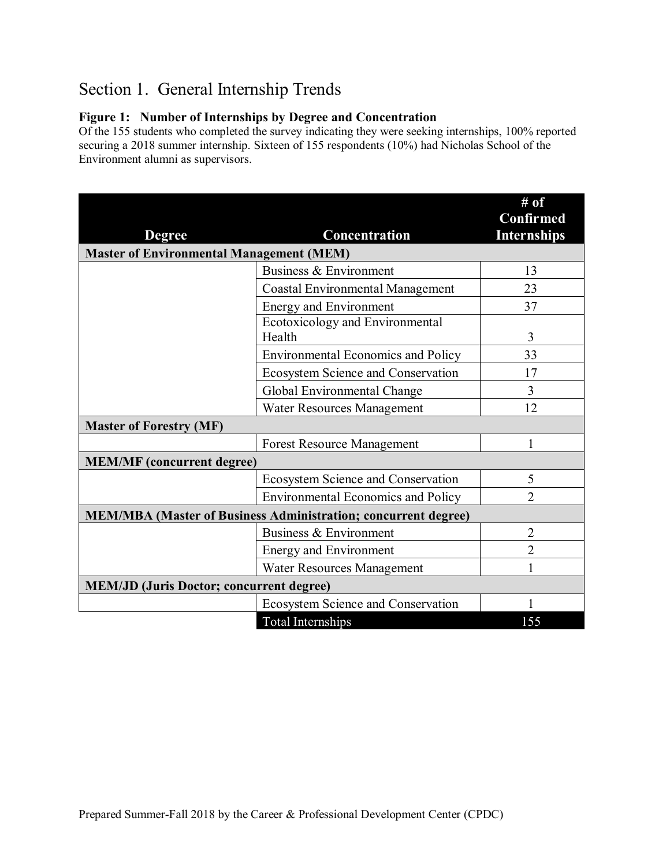# Section 1. General Internship Trends

### **Figure 1: Number of Internships by Degree and Concentration**

Of the 155 students who completed the survey indicating they were seeking internships, 100% reported securing a 2018 summer internship. Sixteen of 155 respondents (10%) had Nicholas School of the Environment alumni as supervisors.

|                                                                       |                                           | # of                                   |
|-----------------------------------------------------------------------|-------------------------------------------|----------------------------------------|
| <b>Degree</b>                                                         | Concentration                             | <b>Confirmed</b><br><b>Internships</b> |
| <b>Master of Environmental Management (MEM)</b>                       |                                           |                                        |
|                                                                       | Business & Environment                    | 13                                     |
|                                                                       | <b>Coastal Environmental Management</b>   | 23                                     |
|                                                                       | <b>Energy and Environment</b>             | 37                                     |
|                                                                       | Ecotoxicology and Environmental<br>Health | 3                                      |
|                                                                       | <b>Environmental Economics and Policy</b> | 33                                     |
|                                                                       | Ecosystem Science and Conservation        | 17                                     |
|                                                                       | Global Environmental Change               | 3                                      |
|                                                                       | Water Resources Management                | 12                                     |
| <b>Master of Forestry (MF)</b>                                        |                                           |                                        |
|                                                                       | <b>Forest Resource Management</b>         |                                        |
| <b>MEM/MF</b> (concurrent degree)                                     |                                           |                                        |
|                                                                       | <b>Ecosystem Science and Conservation</b> | 5                                      |
|                                                                       | <b>Environmental Economics and Policy</b> | $\overline{2}$                         |
| <b>MEM/MBA</b> (Master of Business Administration; concurrent degree) |                                           |                                        |
|                                                                       | Business & Environment                    | $\overline{2}$                         |
|                                                                       | <b>Energy and Environment</b>             | $\overline{2}$                         |
|                                                                       | Water Resources Management                |                                        |
| <b>MEM/JD (Juris Doctor; concurrent degree)</b>                       |                                           |                                        |
|                                                                       | <b>Ecosystem Science and Conservation</b> |                                        |
|                                                                       | Total Internships                         | 155                                    |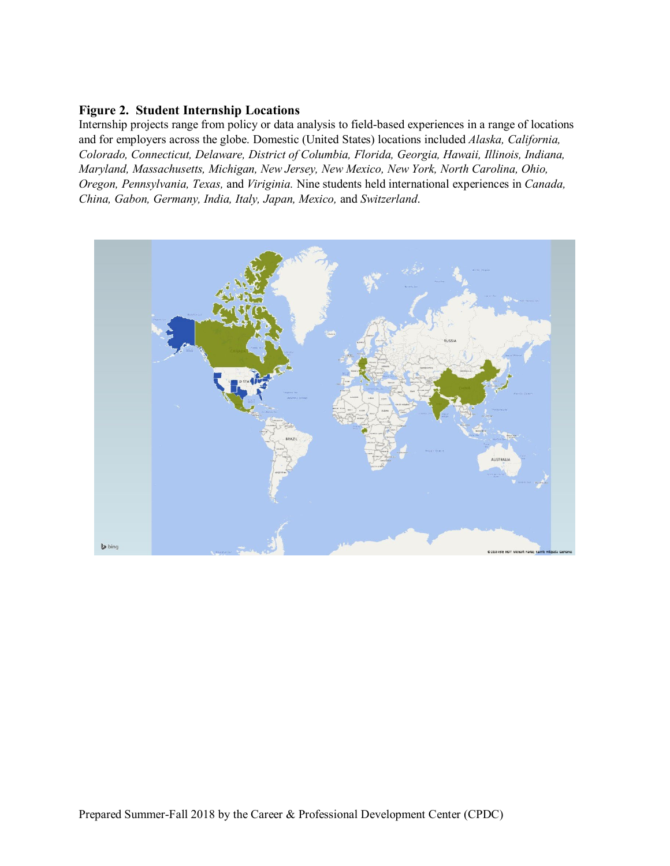### **Figure 2. Student Internship Locations**

Internship projects range from policy or data analysis to field-based experiences in a range of locations and for employers across the globe. Domestic (United States) locations included *Alaska, California, Colorado, Connecticut, Delaware, District of Columbia, Florida, Georgia, Hawaii, Illinois, Indiana, Maryland, Massachusetts, Michigan, New Jersey, New Mexico, New York, North Carolina, Ohio, Oregon, Pennsylvania, Texas,* and *Viriginia.* Nine students held international experiences in *Canada, China, Gabon, Germany, India, Italy, Japan, Mexico,* and *Switzerland*.

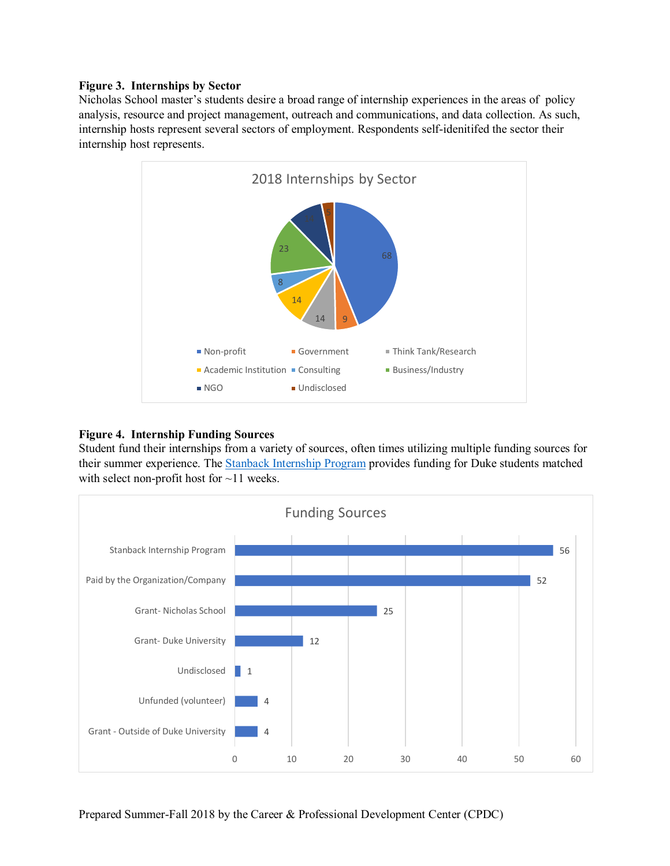#### **Figure 3. Internships by Sector**

Nicholas School master's students desire a broad range of internship experiences in the areas of policy analysis, resource and project management, outreach and communications, and data collection. As such, internship hosts represent several sectors of employment. Respondents self-idenitifed the sector their internship host represents.



### **Figure 4. Internship Funding Sources**

Student fund their internships from a variety of sources, often times utilizing multiple funding sources for their summer experience. The [Stanback Internship Program](https://nicholas.duke.edu/career/for-students/stanback) provides funding for Duke students matched with select non-profit host for ~11 weeks.

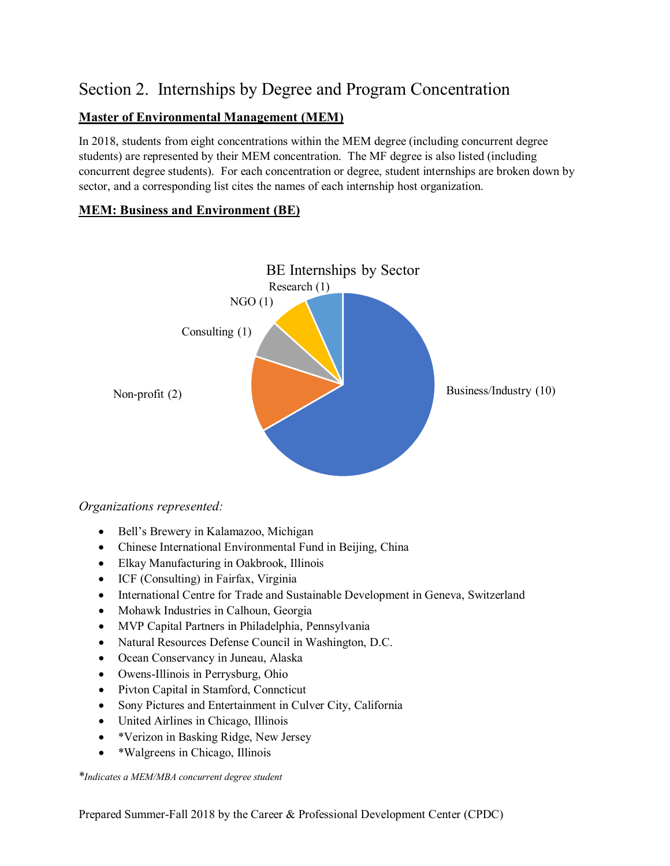# Section 2. Internships by Degree and Program Concentration

## **Master of Environmental Management (MEM)**

In 2018, students from eight concentrations within the MEM degree (including concurrent degree students) are represented by their MEM concentration. The MF degree is also listed (including concurrent degree students). For each concentration or degree, student internships are broken down by sector, and a corresponding list cites the names of each internship host organization.

## **MEM: Business and Environment (BE)**



### *Organizations represented:*

- Bell's Brewery in Kalamazoo, Michigan
- Chinese International Environmental Fund in Beijing, China
- Elkay Manufacturing in Oakbrook, Illinois
- ICF (Consulting) in Fairfax, Virginia
- International Centre for Trade and Sustainable Development in Geneva, Switzerland
- Mohawk Industries in Calhoun, Georgia
- MVP Capital Partners in Philadelphia, Pennsylvania
- Natural Resources Defense Council in Washington, D.C.
- Ocean Conservancy in Juneau, Alaska
- Owens-Illinois in Perrysburg, Ohio
- Pivton Capital in Stamford, Conncticut
- Sony Pictures and Entertainment in Culver City, California
- United Airlines in Chicago, Illinois
- \*Verizon in Basking Ridge, New Jersey
- \*Walgreens in Chicago, Illinois

\**Indicates a MEM/MBA concurrent degree student*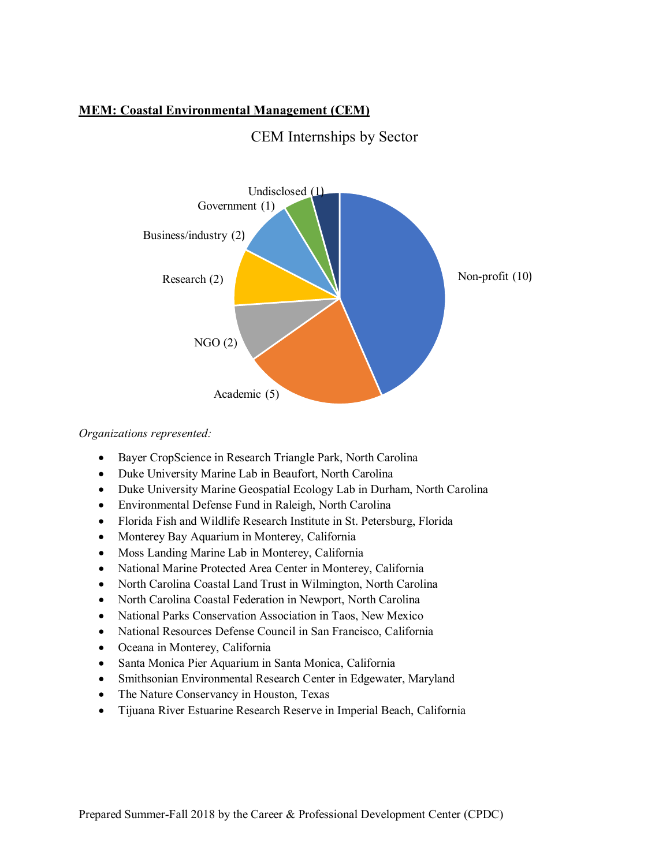### **MEM: Coastal Environmental Management (CEM)**



## CEM Internships by Sector

*Organizations represented:*

- Bayer CropScience in Research Triangle Park, North Carolina
- Duke University Marine Lab in Beaufort, North Carolina
- Duke University Marine Geospatial Ecology Lab in Durham, North Carolina
- Environmental Defense Fund in Raleigh, North Carolina
- Florida Fish and Wildlife Research Institute in St. Petersburg, Florida
- Monterey Bay Aquarium in Monterey, California
- Moss Landing Marine Lab in Monterey, California
- National Marine Protected Area Center in Monterey, California
- North Carolina Coastal Land Trust in Wilmington, North Carolina
- North Carolina Coastal Federation in Newport, North Carolina
- National Parks Conservation Association in Taos, New Mexico
- National Resources Defense Council in San Francisco, California
- Oceana in Monterey, California
- Santa Monica Pier Aquarium in Santa Monica, California
- Smithsonian Environmental Research Center in Edgewater, Maryland
- The Nature Conservancy in Houston, Texas
- Tijuana River Estuarine Research Reserve in Imperial Beach, California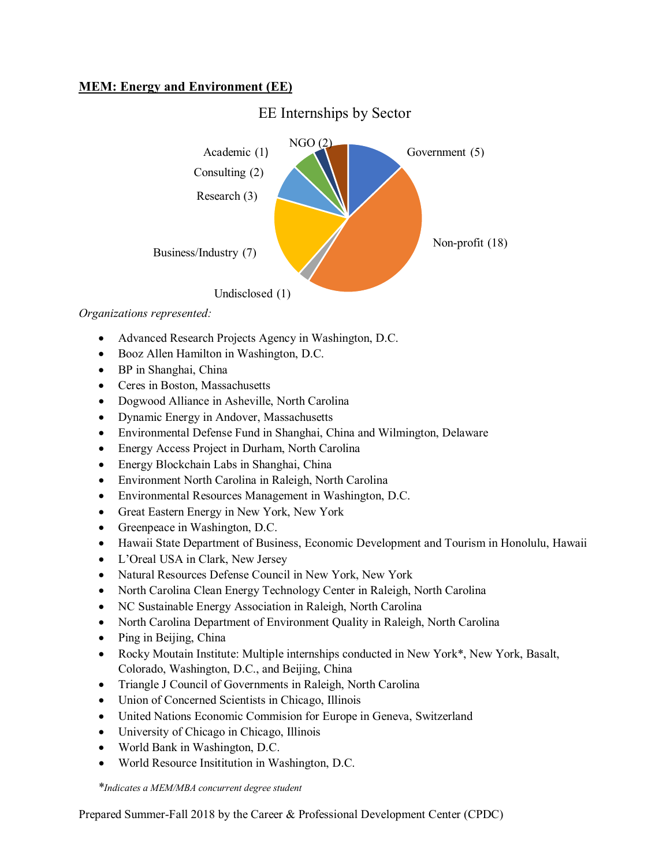### **MEM: Energy and Environment (EE)**



*Organizations represented:*

- Advanced Research Projects Agency in Washington, D.C.
- Booz Allen Hamilton in Washington, D.C.
- BP in Shanghai, China
- Ceres in Boston, Massachusetts
- Dogwood Alliance in Asheville, North Carolina
- Dynamic Energy in Andover, Massachusetts
- Environmental Defense Fund in Shanghai, China and Wilmington, Delaware
- Energy Access Project in Durham, North Carolina
- Energy Blockchain Labs in Shanghai, China
- Environment North Carolina in Raleigh, North Carolina
- Environmental Resources Management in Washington, D.C.
- Great Eastern Energy in New York, New York
- Greenpeace in Washington, D.C.
- Hawaii State Department of Business, Economic Development and Tourism in Honolulu, Hawaii
- L'Oreal USA in Clark, New Jersey
- Natural Resources Defense Council in New York, New York
- North Carolina Clean Energy Technology Center in Raleigh, North Carolina
- NC Sustainable Energy Association in Raleigh, North Carolina
- North Carolina Department of Environment Quality in Raleigh, North Carolina
- Ping in Beijing, China
- Rocky Moutain Institute: Multiple internships conducted in New York\*, New York, Basalt, Colorado, Washington, D.C., and Beijing, China
- Triangle J Council of Governments in Raleigh, North Carolina
- Union of Concerned Scientists in Chicago, Illinois
- United Nations Economic Commision for Europe in Geneva, Switzerland
- University of Chicago in Chicago, Illinois
- World Bank in Washington, D.C.
- World Resource Insititution in Washington, D.C.

\**Indicates a MEM/MBA concurrent degree student*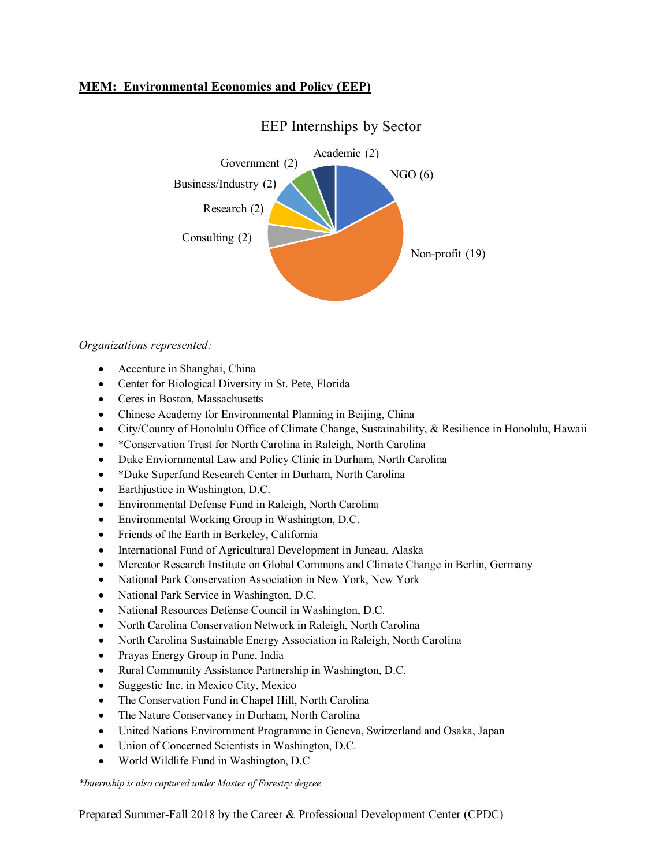### **MEM: Environmental Economics and Policy (EEP)**



## EEP Internships by Sector

### *Organizations represented:*

- Accenture in Shanghai, China
- Center for Biological Diversity in St. Pete, Florida
- Ceres in Boston, Massachusetts
- Chinese Academy for Environmental Planning in Beijing, China
- City/County of Honolulu Office of Climate Change, Sustainability, & Resilience in Honolulu, Hawaii
- \*Conservation Trust for North Carolina in Raleigh, North Carolina
- Duke Enviornmental Law and Policy Clinic in Durham, North Carolina
- \*Duke Superfund Research Center in Durham, North Carolina
- Earthjustice in Washington, D.C.
- Environmental Defense Fund in Raleigh, North Carolina
- Environmental Working Group in Washington, D.C.
- Friends of the Earth in Berkeley, California
- International Fund of Agricultural Development in Juneau, Alaska
- Mercator Research Institute on Global Commons and Climate Change in Berlin, Germany
- National Park Conservation Association in New York, New York
- National Park Service in Washington, D.C.
- National Resources Defense Council in Washington, D.C.
- North Carolina Conservation Network in Raleigh, North Carolina
- North Carolina Sustainable Energy Association in Raleigh, North Carolina
- Prayas Energy Group in Pune, India
- Rural Community Assistance Partnership in Washington, D.C.
- Suggestic Inc. in Mexico City, Mexico
- The Conservation Fund in Chapel Hill, North Carolina
- The Nature Conservancy in Durham, North Carolina
- United Nations Envirornment Programme in Geneva, Switzerland and Osaka, Japan
- Union of Concerned Scientists in Washington, D.C.
- World Wildlife Fund in Washington, D.C

*\*Internship is also captured under Master of Forestry degree*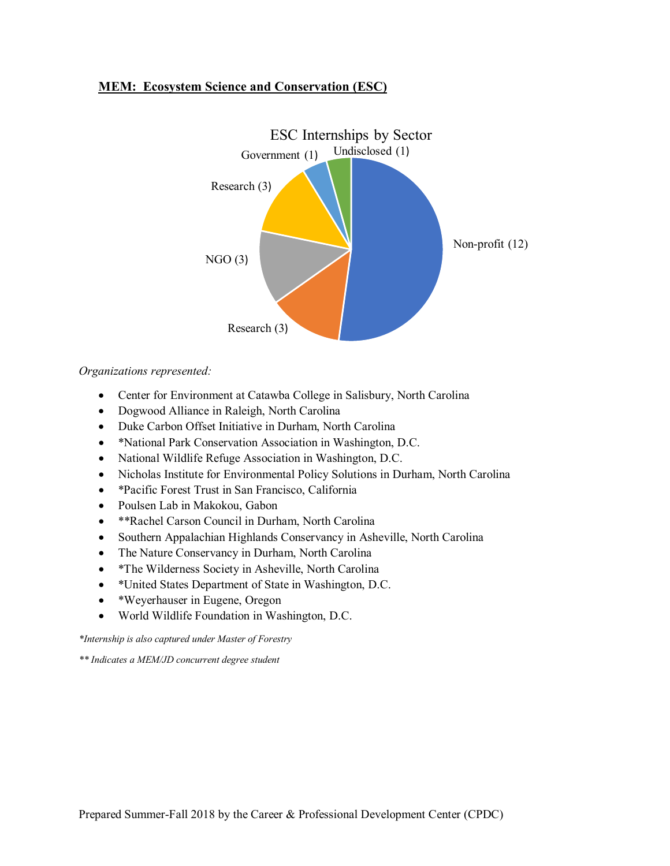### **MEM: Ecosystem Science and Conservation (ESC)**



### *Organizations represented:*

- Center for Environment at Catawba College in Salisbury, North Carolina
- Dogwood Alliance in Raleigh, North Carolina
- Duke Carbon Offset Initiative in Durham, North Carolina
- \*National Park Conservation Association in Washington, D.C.
- National Wildlife Refuge Association in Washington, D.C.
- Nicholas Institute for Environmental Policy Solutions in Durham, North Carolina
- \*Pacific Forest Trust in San Francisco, California
- Poulsen Lab in Makokou, Gabon
- \*\*Rachel Carson Council in Durham, North Carolina
- Southern Appalachian Highlands Conservancy in Asheville, North Carolina
- The Nature Conservancy in Durham, North Carolina
- \*The Wilderness Society in Asheville, North Carolina
- \*United States Department of State in Washington, D.C.
- \*Weyerhauser in Eugene, Oregon
- World Wildlife Foundation in Washington, D.C.

*\*Internship is also captured under Master of Forestry*

*\*\* Indicates a MEM/JD concurrent degree student*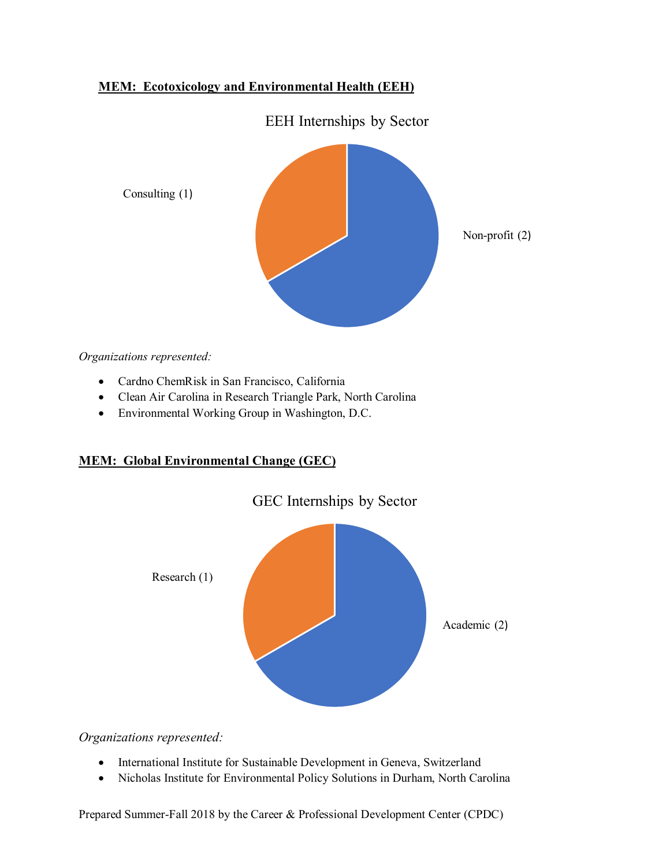### **MEM: Ecotoxicology and Environmental Health (EEH)**

EEH Internships by Sector



*Organizations represented:*

- Cardno ChemRisk in San Francisco, California
- Clean Air Carolina in Research Triangle Park, North Carolina
- Environmental Working Group in Washington, D.C.

### **MEM: Global Environmental Change (GEC)**



*Organizations represented:*

- International Institute for Sustainable Development in Geneva, Switzerland
- Nicholas Institute for Environmental Policy Solutions in Durham, North Carolina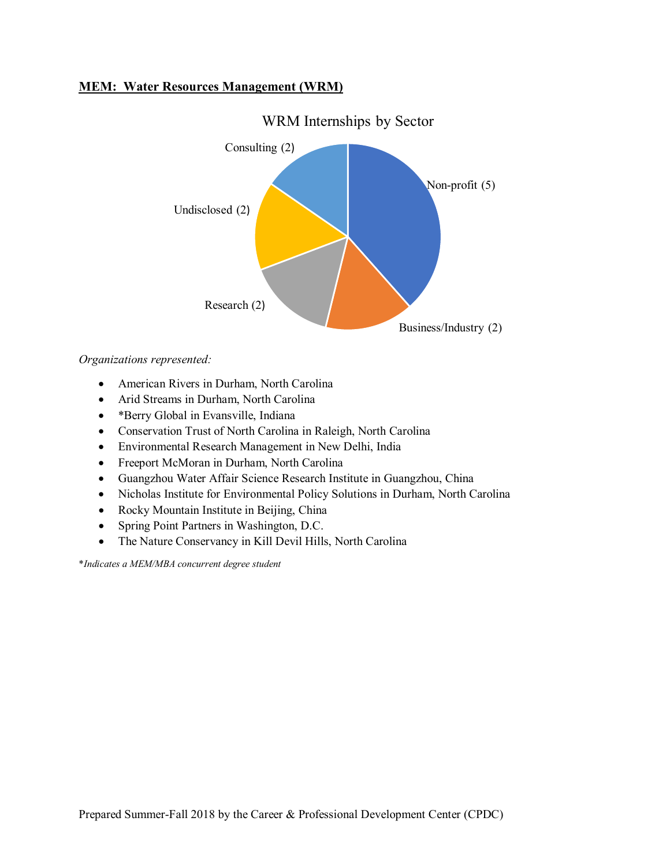### **MEM: Water Resources Management (WRM)**



WRM Internships by Sector

*Organizations represented:*

- American Rivers in Durham, North Carolina
- Arid Streams in Durham, North Carolina
- \*Berry Global in Evansville, Indiana
- Conservation Trust of North Carolina in Raleigh, North Carolina
- Environmental Research Management in New Delhi, India
- Freeport McMoran in Durham, North Carolina
- Guangzhou Water Affair Science Research Institute in Guangzhou, China
- Nicholas Institute for Environmental Policy Solutions in Durham, North Carolina
- Rocky Mountain Institute in Beijing, China
- Spring Point Partners in Washington, D.C.
- The Nature Conservancy in Kill Devil Hills, North Carolina

\**Indicates a MEM/MBA concurrent degree student*